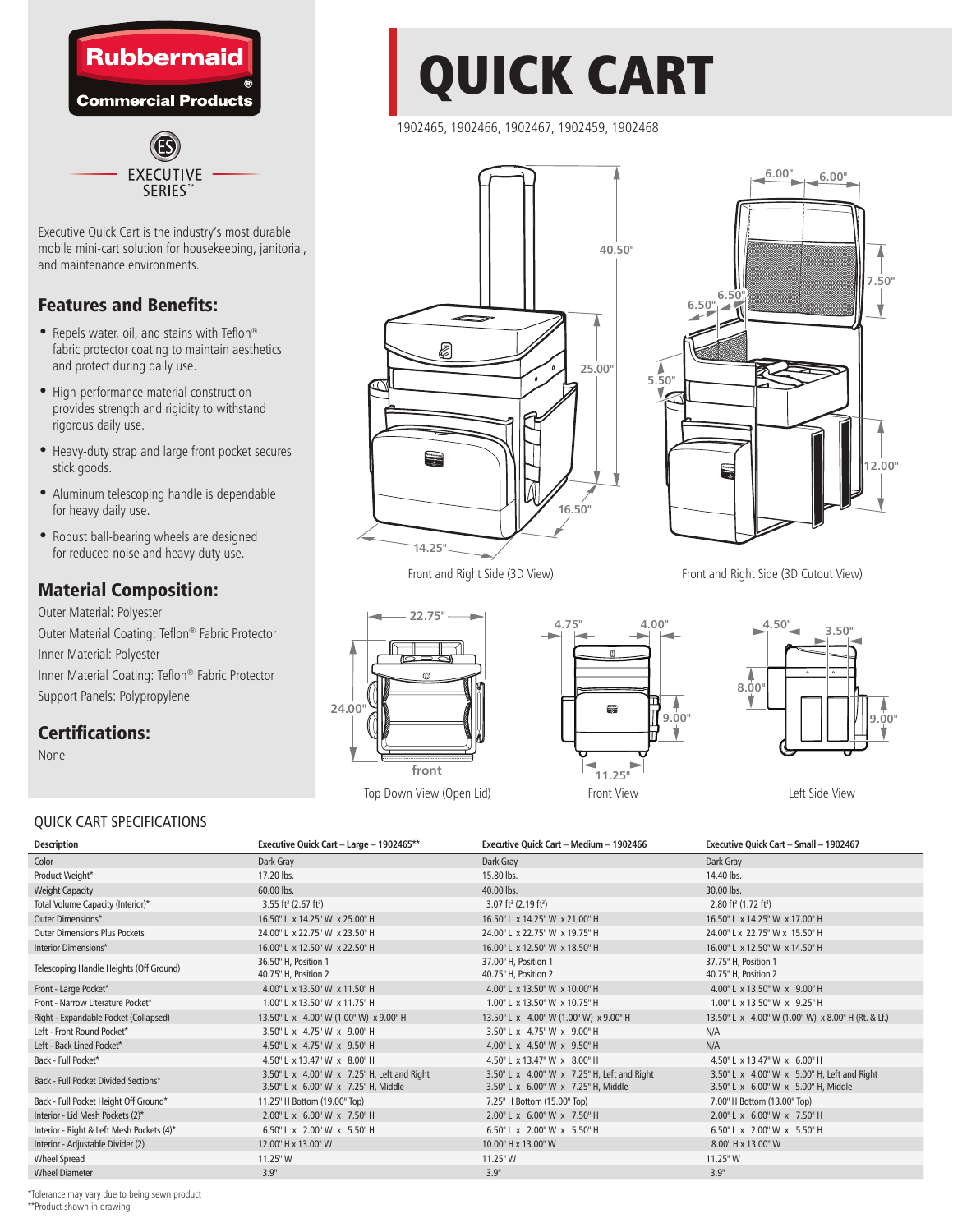

Executive Quick Cart is the industry's most durable mobile mini-cart solution for housekeeping, janitorial, and maintenance environments.

**SERIES** 

## Features and Benefits:

- Repels water, oil, and stains with Teflon® fabric protector coating to maintain aesthetics and protect during daily use.
- High-performance material construction provides strength and rigidity to withstand rigorous daily use.
- Heavy-duty strap and large front pocket secures stick goods.
- Aluminum telescoping handle is dependable for heavy daily use.
- Robust ball-bearing wheels are designed for reduced noise and heavy-duty use.

## Material Composition:

Outer Material: Polyester Outer Material Coating: Teflon® Fabric Protector Inner Material: Polyester Inner Material Coating: Teflon® Fabric Protector Support Panels: Polypropylene

## Certifications:

None

# QUICK CART

1902465, 1902466, 1902467, 1902459, 1902468











### QUICK CART SPECIFICATIONS

| <b>Description</b>                        | Executive Quick Cart - Large - 1902465**                                           | Executive Quick Cart - Medium - 1902466                                            | Executive Quick Cart - Small - 1902467                                             |
|-------------------------------------------|------------------------------------------------------------------------------------|------------------------------------------------------------------------------------|------------------------------------------------------------------------------------|
| Color                                     | Dark Gray                                                                          | Dark Gray                                                                          | Dark Gray                                                                          |
| Product Weight*                           | 17.20 lbs.                                                                         | 15.80 lbs.                                                                         | 14.40 lbs.                                                                         |
| <b>Weight Capacity</b>                    | 60.00 lbs.                                                                         | 40.00 lbs.                                                                         | 30.00 lbs.                                                                         |
| Total Volume Capacity (Interior)*         | $3.55 \text{ ft}^3 (2.67 \text{ ft}^3)$                                            | $3.07 \text{ ft}^3 (2.19 \text{ ft}^3)$                                            | $2.80 \text{ ft}^3 (1.72 \text{ ft}^3)$                                            |
| Outer Dimensions*                         | 16.50" L x 14.25" W x 25.00" H                                                     | 16.50" L x 14.25" W x 21.00" H                                                     | 16.50" L x 14.25" W x 17.00" H                                                     |
| <b>Outer Dimensions Plus Pockets</b>      | 24.00" L x 22.75" W x 23.50" H                                                     | 24.00" L x 22.75" W x 19.75" H                                                     | 24.00" Lx 22.75" W x 15.50" H                                                      |
| Interior Dimensions*                      | 16.00" L x 12.50" W x 22.50" H                                                     | 16.00" L x 12.50" W x 18.50" H                                                     | 16.00" L x 12.50" W x 14.50" H                                                     |
| Telescoping Handle Heights (Off Ground)   | 36.50" H, Position 1<br>40.75" H, Position 2                                       | 37.00" H. Position 1<br>40.75" H, Position 2                                       | 37.75" H, Position 1<br>40.75" H, Position 2                                       |
| Front - Large Pocket*                     | 4.00" L x 13.50" W x 11.50" H                                                      | 4.00" L x 13.50" W x 10.00" H                                                      | 4.00" L x 13.50" W x 9.00" H                                                       |
| Front - Narrow Literature Pocket*         | 1.00" L x 13.50" W x 11.75" H                                                      | 1.00" L x 13.50" W x 10.75" H                                                      | 1.00" L x 13.50" W x 9.25" H                                                       |
| Right - Expandable Pocket (Collapsed)     | 13.50" L x 4.00" W (1.00" W) x 9.00" H                                             | 13.50" L x 4.00" W (1.00" W) x 9.00" H                                             | 13.50" L x 4.00" W (1.00" W) x 8.00" H (Rt. & Lf.)                                 |
| Left - Front Round Pocket*                | 3.50" L x 4.75" W x 9.00" H                                                        | 3.50" L x 4.75" W x 9.00" H                                                        | N/A                                                                                |
| Left - Back Lined Pocket*                 | 4.50" L x 4.75" W x 9.50" H                                                        | 4.00" L x 4.50" W x 9.50" H                                                        | N/A                                                                                |
| Back - Full Pocket*                       | 4.50" L x 13.47" W x 8.00" H                                                       | 4.50" L x 13.47" W x 8.00" H                                                       | 4.50" L x 13.47" W x 6.00" H                                                       |
| Back - Full Pocket Divided Sections*      | 3.50" L x 4.00" W x 7.25" H, Left and Right<br>3.50" L x 6.00" W x 7.25" H, Middle | 3.50" L x 4.00" W x 7.25" H, Left and Right<br>3.50" L x 6.00" W x 7.25" H, Middle | 3.50" L x 4.00" W x 5.00" H, Left and Right<br>3.50" L x 6.00" W x 5.00" H, Middle |
| Back - Full Pocket Height Off Ground*     | 11.25" H Bottom (19.00" Top)                                                       | 7.25" H Bottom (15.00" Top)                                                        | 7.00" H Bottom (13.00" Top)                                                        |
| Interior - Lid Mesh Pockets (2)*          | 2.00" L x 6.00" W x 7.50" H                                                        | 2.00" L x 6.00" W x 7.50" H                                                        | 2.00" L x 6.00" W x 7.50" H                                                        |
| Interior - Right & Left Mesh Pockets (4)* | 6.50" L x 2.00" W x 5.50" H                                                        | 6.50" L x 2.00" W x 5.50" H                                                        | 6.50" L x 2.00" W x 5.50" H                                                        |
| Interior - Adjustable Divider (2)         | 12.00" H x 13.00" W                                                                | 10.00" H x 13.00" W                                                                | 8.00" H x 13.00" W                                                                 |
| <b>Wheel Spread</b>                       | 11.25" W                                                                           | 11.25"W                                                                            | 11.25"W                                                                            |
| <b>Wheel Diameter</b>                     | 3.9"                                                                               | 3.9"                                                                               | 3.9"                                                                               |

\*Tolerance may vary due to being sewn product \*\*Product shown in drawing